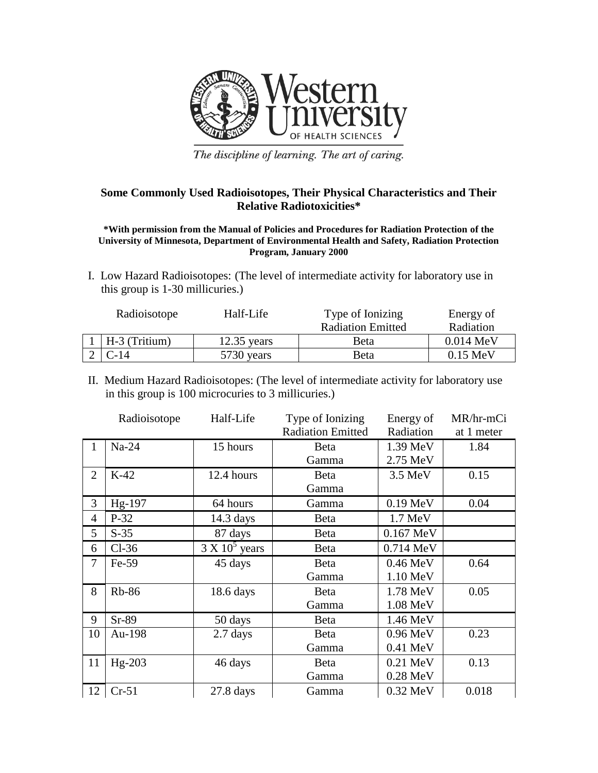

The discipline of learning. The art of caring.

## **Some Commonly Used Radioisotopes, Their Physical Characteristics and Their Relative Radiotoxicities\***

**\*With permission from the Manual of Policies and Procedures for Radiation Protection of the University of Minnesota, Department of Environmental Health and Safety, Radiation Protection Program, January 2000**

I. Low Hazard Radioisotopes: (The level of intermediate activity for laboratory use in this group is 1-30 millicuries.)

| Half-Life<br>Radioisotope |               | Type of Ionizing         | Energy of           |  |
|---------------------------|---------------|--------------------------|---------------------|--|
|                           |               | <b>Radiation Emitted</b> | Radiation           |  |
| H-3 (Tritium)             | $12.35$ years | Beta                     | $0.014 \text{ MeV}$ |  |
| $C-14$                    | 5730 years    | Beta                     | $0.15 \text{ MeV}$  |  |

II. Medium Hazard Radioisotopes: (The level of intermediate activity for laboratory use in this group is 100 microcuries to 3 millicuries.)

|                | Radioisotope | Half-Life             | Type of Ionizing         | Energy of          | MR/hr-mCi  |
|----------------|--------------|-----------------------|--------------------------|--------------------|------------|
|                |              |                       | <b>Radiation Emitted</b> | Radiation          | at 1 meter |
| $\mathbf{I}$   | $Na-24$      | 15 hours              | <b>B</b> eta             | 1.39 MeV           | 1.84       |
|                |              |                       | Gamma                    | 2.75 MeV           |            |
| $\overline{2}$ | $K-42$       | 12.4 hours            | Beta                     | 3.5 MeV            | 0.15       |
|                |              |                       | Gamma                    |                    |            |
| 3              | Hg-197       | 64 hours              | Gamma                    | 0.19 MeV           | 0.04       |
| $\overline{4}$ | $P-32$       | $14.3$ days           | Beta                     | 1.7 MeV            |            |
| 5              | $S-35$       | 87 days               | Beta                     | 0.167 MeV          |            |
| 6              | $Cl-36$      | $3 \times 10^5$ years | <b>B</b> eta             | 0.714 MeV          |            |
| 7              | $Fe-59$      | 45 days               | <b>B</b> eta             | $0.46 \text{ MeV}$ | 0.64       |
|                |              |                       | Gamma                    | 1.10 MeV           |            |
| 8              | <b>Rb-86</b> | $18.6$ days           | <b>B</b> eta             | 1.78 MeV           | 0.05       |
|                |              |                       | Gamma                    | 1.08 MeV           |            |
| 9              | $Sr-89$      | 50 days               | <b>B</b> eta             | 1.46 MeV           |            |
| 10             | Au-198       | $2.7$ days            | <b>B</b> eta             | 0.96 MeV           | 0.23       |
|                |              |                       | Gamma                    | 0.41 MeV           |            |
| 11             | $Hg-203$     | 46 days               | Beta                     | 0.21 MeV           | 0.13       |
|                |              |                       | Gamma                    | $0.28$ MeV         |            |
| 12             | $Cr-51$      | $27.8$ days           | Gamma                    | $0.32 \text{ MeV}$ | 0.018      |